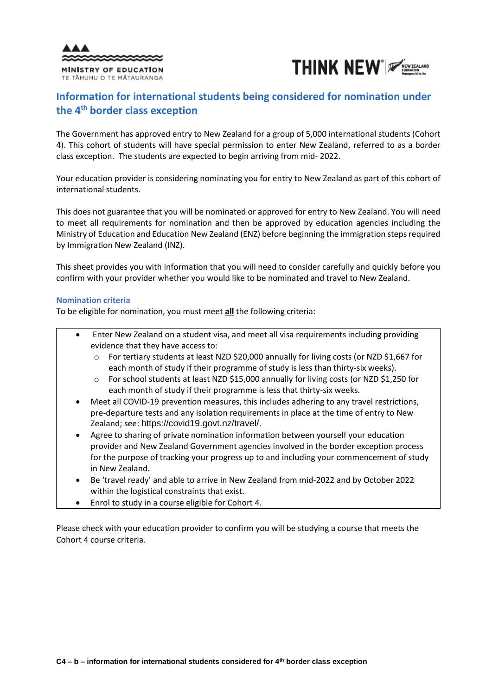



# **Information for international students being considered for nomination under the 4 th border class exception**

The Government has approved entry to New Zealand for a group of 5,000 international students (Cohort 4). This cohort of students will have special permission to enter New Zealand, referred to as a border class exception. The students are expected to begin arriving from mid- 2022.

Your education provider is considering nominating you for entry to New Zealand as part of this cohort of international students.

This does not guarantee that you will be nominated or approved for entry to New Zealand. You will need to meet all requirements for nomination and then be approved by education agencies including the Ministry of Education and Education New Zealand (ENZ) before beginning the immigration steps required by Immigration New Zealand (INZ).

This sheet provides you with information that you will need to consider carefully and quickly before you confirm with your provider whether you would like to be nominated and travel to New Zealand.

## **Nomination criteria**

To be eligible for nomination, you must meet **all** the following criteria:

- Enter New Zealand on a student visa, and meet all visa requirements including providing evidence that they have access to:
	- o For tertiary students at least NZD \$20,000 annually for living costs (or NZD \$1,667 for each month of study if their programme of study is less than thirty-six weeks).
	- o For school students at least NZD \$15,000 annually for living costs (or NZD \$1,250 for each month of study if their programme is less that thirty-six weeks.
- Meet all COVID-19 prevention measures, this includes adhering to any travel restrictions, pre-departure tests and any isolation requirements in place at the time of entry to New Zealand; see: [https://covid19.govt.nz/travel/.](https://covid19.govt.nz/travel/)
- Agree to sharing of private nomination information between yourself your education provider and New Zealand Government agencies involved in the border exception process for the purpose of tracking your progress up to and including your commencement of study in New Zealand.
- Be 'travel ready' and able to arrive in New Zealand from mid-2022 and by October 2022 within the logistical constraints that exist.
- Enrol to study in a course eligible for Cohort 4.

Please check with your education provider to confirm you will be studying a course that meets the Cohort 4 course criteria.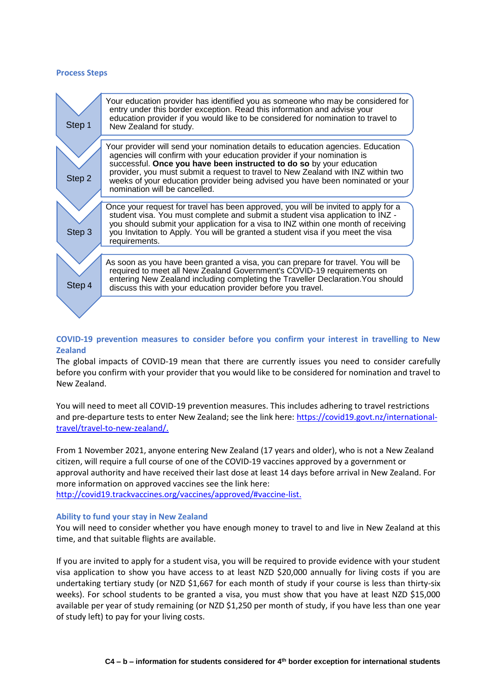#### **Process Steps**

| Step 1 | Your education provider has identified you as someone who may be considered for<br>entry under this border exception. Read this information and advise your<br>education provider if you would like to be considered for nomination to travel to<br>New Zealand for study.                                                                                                                                                                  |
|--------|---------------------------------------------------------------------------------------------------------------------------------------------------------------------------------------------------------------------------------------------------------------------------------------------------------------------------------------------------------------------------------------------------------------------------------------------|
| Step 2 | Your provider will send your nomination details to education agencies. Education<br>agencies will confirm with your education provider if your nomination is<br>successful. Once you have been instructed to do so by your education<br>provider, you must submit a request to travel to New Zealand with INZ within two<br>weeks of your education provider being advised you have been nominated or your<br>nomination will be cancelled. |
| Step 3 | Once your request for travel has been approved, you will be invited to apply for a<br>student visa. You must complete and submit a student visa application to INZ -<br>you should submit your application for a visa to INZ within one month of receiving<br>you Invitation to Apply. You will be granted a student visa if you meet the visa<br>requirements.                                                                             |
| Step 4 | As soon as you have been granted a visa, you can prepare for travel. You will be<br>required to meet all New Zealand Government's COVID-19 requirements on<br>entering New Zealand including completing the Traveller Declaration. You should<br>discuss this with your education provider before you travel.                                                                                                                               |
|        |                                                                                                                                                                                                                                                                                                                                                                                                                                             |

# **COVID-19 prevention measures to consider before you confirm your interest in travelling to New Zealand**

The global impacts of COVID-19 mean that there are currently issues you need to consider carefully before you confirm with your provider that you would like to be considered for nomination and travel to New Zealand.

You will need to meet all COVID-19 prevention measures. This includes adhering to travel restrictions and pre-departure tests to enter New Zealand; see the link here: [https://covid19.govt.nz/international](https://covid19.govt.nz/international-travel/travel-to-new-zealand/)[travel/travel-to-new-zealand/.](https://covid19.govt.nz/international-travel/travel-to-new-zealand/)

From 1 November 2021, anyone entering New Zealand (17 years and older), who is not a New Zealand citizen, will require a full course of one of the COVID-19 vaccines approved by a government or approval authority and have received their last dose at least 14 days before arrival in New Zealand. For more information on approved vaccines see the link here:

[http://covid19.trackvaccines.org/vaccines/approved/#vaccine-list.](http://covid19.trackvaccines.org/vaccines/approved/#vaccine-list)

# **Ability to fund your stay in New Zealand**

You will need to consider whether you have enough money to travel to and live in New Zealand at this time, and that suitable flights are available.

If you are invited to apply for a student visa, you will be required to provide evidence with your student visa application to show you have access to at least NZD \$20,000 annually for living costs if you are undertaking tertiary study (or NZD \$1,667 for each month of study if your course is less than thirty-six weeks). For school students to be granted a visa, you must show that you have at least NZD \$15,000 available per year of study remaining (or NZD \$1,250 per month of study, if you have less than one year of study left) to pay for your living costs.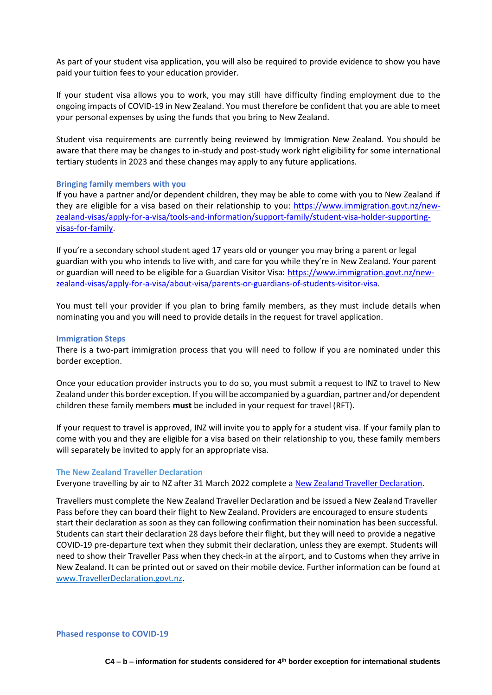As part of your student visa application, you will also be required to provide evidence to show you have paid your tuition fees to your education provider.

If your student visa allows you to work, you may still have difficulty finding employment due to the ongoing impacts of COVID-19 in New Zealand. You must therefore be confident that you are able to meet your personal expenses by using the funds that you bring to New Zealand.

Student visa requirements are currently being reviewed by Immigration New Zealand. You should be aware that there may be changes to in-study and post-study work right eligibility for some international tertiary students in 2023 and these changes may apply to any future applications.

## **Bringing family members with you**

If you have a partner and/or dependent children, they may be able to come with you to New Zealand if they are eligible for a visa based on their relationship to you: [https://www.immigration.govt.nz/new](https://www.immigration.govt.nz/new-zealand-visas/apply-for-a-visa/tools-and-information/support-family/student-visa-holder-supporting-visas-for-family)[zealand-visas/apply-for-a-visa/tools-and-information/support-family/student-visa-holder-supporting](https://www.immigration.govt.nz/new-zealand-visas/apply-for-a-visa/tools-and-information/support-family/student-visa-holder-supporting-visas-for-family)[visas-for-family.](https://www.immigration.govt.nz/new-zealand-visas/apply-for-a-visa/tools-and-information/support-family/student-visa-holder-supporting-visas-for-family)

If you're a secondary school student aged 17 years old or younger you may bring a parent or legal guardian with you who intends to live with, and care for you while they're in New Zealand. Your parent or guardian will need to be eligible for a Guardian Visitor Visa: [https://www.immigration.govt.nz/new](https://www.immigration.govt.nz/new-zealand-visas/apply-for-a-visa/about-visa/parents-or-guardians-of-students-visitor-visa)[zealand-visas/apply-for-a-visa/about-visa/parents-or-guardians-of-students-visitor-visa.](https://www.immigration.govt.nz/new-zealand-visas/apply-for-a-visa/about-visa/parents-or-guardians-of-students-visitor-visa)

You must tell your provider if you plan to bring family members, as they must include details when nominating you and you will need to provide details in the request for travel application.

#### **Immigration Steps**

There is a two-part immigration process that you will need to follow if you are nominated under this border exception.

Once your education provider instructs you to do so, you must submit a request to INZ to travel to New Zealand under this border exception. If you will be accompanied by a guardian, partner and/or dependent children these family members **must** be included in your request for travel (RFT).

If your request to travel is approved, INZ will invite you to apply for a student visa. If your family plan to come with you and they are eligible for a visa based on their relationship to you, these family members will separately be invited to apply for an appropriate visa.

#### **The New Zealand Traveller Declaration**

Everyone travelling by air to NZ after 31 March 2022 complete a [New Zealand Traveller Declaration.](https://www.travellerdeclaration.govt.nz/)

Travellers must complete the New Zealand Traveller Declaration and be issued a New Zealand Traveller Pass before they can board their flight to New Zealand. Providers are encouraged to ensure students start their declaration as soon as they can following confirmation their nomination has been successful. Students can start their declaration 28 days before their flight, but they will need to provide a negative COVID-19 pre-departure text when they submit their declaration, unless they are exempt. Students will need to show their Traveller Pass when they check-in at the airport, and to Customs when they arrive in New Zealand. It can be printed out or saved on their mobile device. Further information can be found at [www.TravellerDeclaration.govt.nz.](https://aus01.safelinks.protection.outlook.com/?url=http%3A%2F%2Fwww.travellerdeclaration.govt.nz%2F&data=04%7C01%7Cjanet.bache%40enz.govt.nz%7Ce95de8d92cc441ccf83308da111c8a3e%7C7fab8d821c854170acbf74e098fcca29%7C0%7C0%7C637841111513986528%7CUnknown%7CTWFpbGZsb3d8eyJWIjoiMC4wLjAwMDAiLCJQIjoiV2luMzIiLCJBTiI6Ik1haWwiLCJXVCI6Mn0%3D%7C3000&sdata=o7RGe5KuQXrw3kXaSLUQDuzdz5gyLAi0J2hIx6M8U6M%3D&reserved=0)

**Phased response to COVID-19**